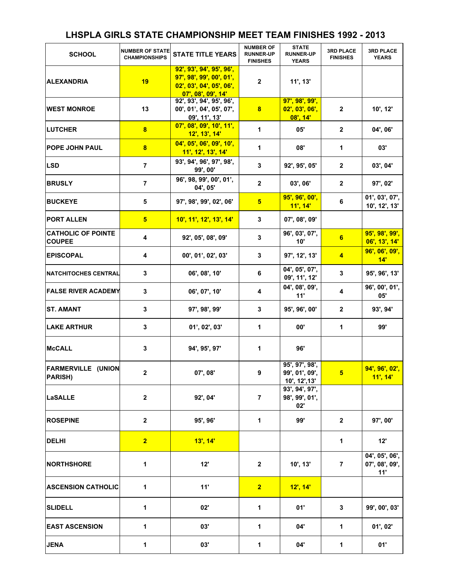## **LHSPLA GIRLS STATE CHAMPIONSHIP MEET TEAM FINISHES 1992 - 2013**

| <b>SCHOOL</b>                              | <b>NUMBER OF STATE</b><br><b>CHAMPIONSHIPS</b> | <b>STATE TITLE YEARS</b>                                                                               | <b>NUMBER OF</b><br><b>RUNNER-UP</b><br><b>FINISHES</b> | <b>STATE</b><br><b>RUNNER-UP</b><br><b>YEARS</b>  | <b>3RD PLACE</b><br><b>FINISHES</b> | <b>3RD PLACE</b><br><b>YEARS</b>        |
|--------------------------------------------|------------------------------------------------|--------------------------------------------------------------------------------------------------------|---------------------------------------------------------|---------------------------------------------------|-------------------------------------|-----------------------------------------|
| <b>ALEXANDRIA</b>                          | 19                                             | 92', 93', 94', 95', 96',<br>97', 98', 99', 00', 01',<br>02', 03', 04', 05', 06',<br>07', 08', 09', 14' | $\mathbf{2}$                                            | 11', 13'                                          |                                     |                                         |
| <b>WEST MONROE</b>                         | 13                                             | 92', 93', 94', 95', 96',<br>00', 01', 04', 05', 07',<br>09', 11', 13'                                  | 8                                                       | 97', 98', 99',<br>02', 03', 06',<br>$08'$ , $14'$ | $\mathbf{2}$                        | 10', 12'                                |
| <b>LUTCHER</b>                             | 8                                              | 07', 08', 09', 10', 11',<br>12', 13', 14'                                                              | $\mathbf{1}$                                            | 05'                                               | $\overline{2}$                      | 04', 06'                                |
| <b>POPE JOHN PAUL</b>                      | $\overline{\mathbf{8}}$                        | 04', 05', 06', 09', 10',<br>11', 12', 13', 14'                                                         | 1                                                       | 08'                                               | 1                                   | 03'                                     |
| <b>LSD</b>                                 | $\overline{7}$                                 | 93', 94', 96', 97', 98',<br>99', 00'                                                                   | 3                                                       | 92', 95', 05'                                     | $\overline{2}$                      | 03', 04'                                |
| <b>BRUSLY</b>                              | $\overline{7}$                                 | 96', 98, 99', 00', 01',<br>04', 05'                                                                    | $\overline{2}$                                          | 03', 06'                                          | $\overline{2}$                      | 97', 02'                                |
| <b>BUCKEYE</b>                             | 5                                              | 97', 98', 99', 02', 06'                                                                                | 5 <sup>5</sup>                                          | 95', 96', 00',<br>11', 14'                        | 6                                   | 01', 03', 07',<br>10', 12', 13'         |
| <b>PORT ALLEN</b>                          | 5 <sub>5</sub>                                 | 10', 11', 12', 13', 14'                                                                                | 3                                                       | 07', 08', 09'                                     |                                     |                                         |
| <b>CATHOLIC OF POINTE</b><br><b>COUPEE</b> | 4                                              | 92', 05', 08', 09'                                                                                     | 3                                                       | 96', 03', 07',<br>10'                             | 6                                   | 95', 98', 99',<br>06', 13', 14'         |
| <b>EPISCOPAL</b>                           | 4                                              | 00', 01', 02', 03'                                                                                     | 3                                                       | 97', 12', 13'                                     | $\overline{4}$                      | 96', 06', 09',<br>14"                   |
| <b>NATCHITOCHES CENTRAL</b>                | 3                                              | 06', 08', 10'                                                                                          | 6                                                       | 04', 05', 07',<br>09', 11', 12'                   | 3                                   | 95', 96', 13'                           |
| <b>FALSE RIVER ACADEMY</b>                 | 3                                              | 06', 07', 10'                                                                                          | 4                                                       | 04', 08', 09',<br>11'                             | 4                                   | 96', 00', 01',<br>05'                   |
| <b>ST. AMANT</b>                           | 3                                              | 97', 98', 99'                                                                                          | 3                                                       | 95', 96', 00'                                     | $\overline{2}$                      | 93', 94'                                |
| <b>LAKE ARTHUR</b>                         | 3                                              | 01', 02', 03'                                                                                          | 1                                                       | 00'                                               | 1                                   | 99'                                     |
| <b>McCALL</b>                              | 3                                              | 94', 95', 97'                                                                                          | 1                                                       | 96'                                               |                                     |                                         |
| <b>FARMERVILLE (UNION</b><br>PARISH)       | 2                                              | 07', 08'                                                                                               | 9                                                       | 95', 97', 98',<br>99', 01', 09',<br>10', 12', 13' | 5.                                  | 94', 96', 02',<br>11', 14'              |
| <b>LaSALLE</b>                             | $\mathbf{2}$                                   | 92', 04'                                                                                               | $\overline{7}$                                          | 93', 94', 97',<br>98', 99', 01',<br>02'           |                                     |                                         |
| <b>ROSEPINE</b>                            | $\mathbf{2}$                                   | 95', 96'                                                                                               | $\mathbf{1}$                                            | 99'                                               | $\mathbf{2}$                        | 97', 00'                                |
| <b>DELHI</b>                               | 2 <sub>2</sub>                                 | $13'$ , $14'$                                                                                          |                                                         |                                                   | 1                                   | 12"                                     |
| <b>NORTHSHORE</b>                          | 1                                              | 12'                                                                                                    | $\mathbf{2}$                                            | 10', 13'                                          | $\overline{7}$                      | 04', 05', 06',<br>07', 08', 09',<br>11' |
| <b>ASCENSION CATHOLIC</b>                  | 1                                              | 11'                                                                                                    | 2 <sub>2</sub>                                          | 12', 14'                                          |                                     |                                         |
| <b>SLIDELL</b>                             | $\mathbf{1}$                                   | 02'                                                                                                    | 1                                                       | 01'                                               | 3                                   | 99', 00', 03'                           |
| <b>EAST ASCENSION</b>                      | 1                                              | 03'                                                                                                    | 1                                                       | 04'                                               | 1                                   | 01', 02'                                |
| <b>JENA</b>                                | 1                                              | 03'                                                                                                    | $\mathbf{1}$                                            | 04'                                               | 1                                   | 01'                                     |